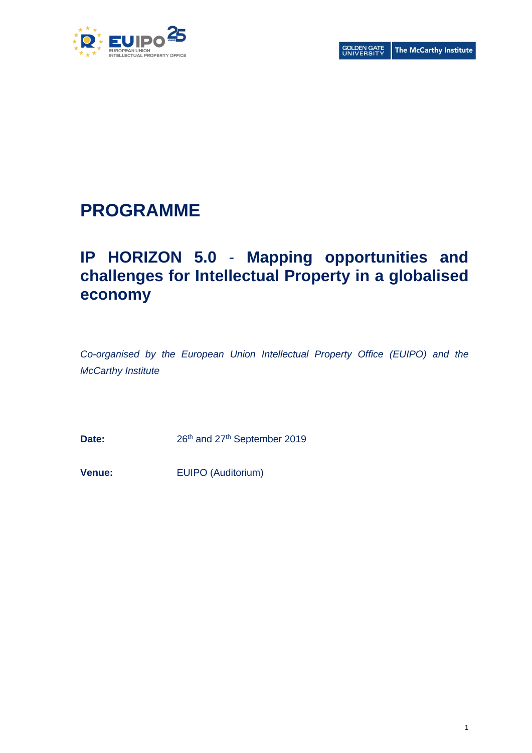

# **PROGRAMME**

# **IP HORIZON 5.0** - **Mapping opportunities and challenges for Intellectual Property in a globalised economy**

*Co-organised by the European Union Intellectual Property Office (EUIPO) and the McCarthy Institute*

Date: 26<sup>th</sup> and 27<sup>th</sup> September 2019

**Venue:** EUIPO (Auditorium)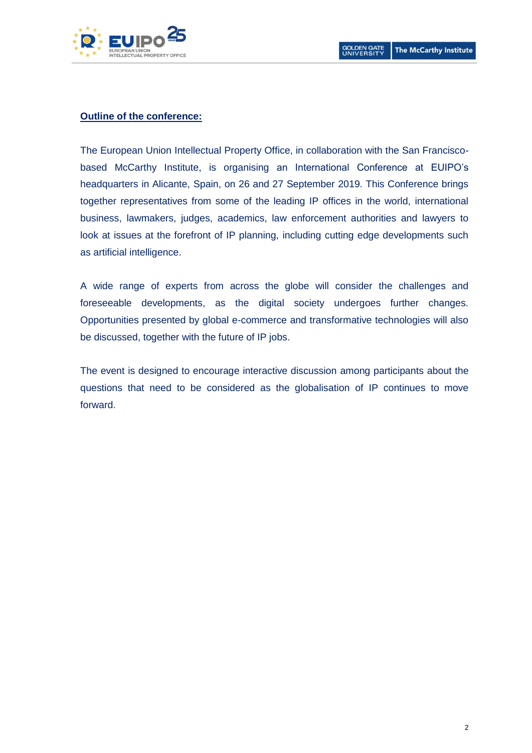

#### **Outline of the conference:**

The European Union Intellectual Property Office, in collaboration with the San Franciscobased McCarthy Institute, is organising an International Conference at EUIPO's headquarters in Alicante, Spain, on 26 and 27 September 2019. This Conference brings together representatives from some of the leading IP offices in the world, international business, lawmakers, judges, academics, law enforcement authorities and lawyers to look at issues at the forefront of IP planning, including cutting edge developments such as artificial intelligence.

A wide range of experts from across the globe will consider the challenges and foreseeable developments, as the digital society undergoes further changes. Opportunities presented by global e-commerce and transformative technologies will also be discussed, together with the future of IP jobs.

The event is designed to encourage interactive discussion among participants about the questions that need to be considered as the globalisation of IP continues to move forward.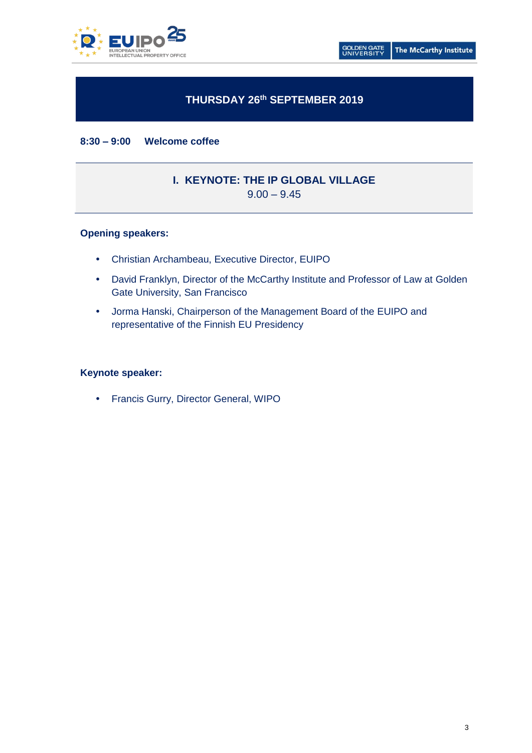

# **THURSDAY 26th SEPTEMBER 2019**

**8:30 – 9:00 Welcome coffee**

# **I. KEYNOTE: THE IP GLOBAL VILLAGE**

 $9.00 - 9.45$ 

# **Opening speakers:**

- Christian Archambeau, Executive Director, EUIPO
- David Franklyn, Director of the McCarthy Institute and Professor of Law at Golden Gate University, San Francisco
- Jorma Hanski, Chairperson of the Management Board of the EUIPO and representative of the Finnish EU Presidency

### **Keynote speaker:**

Francis Gurry, Director General, WIPO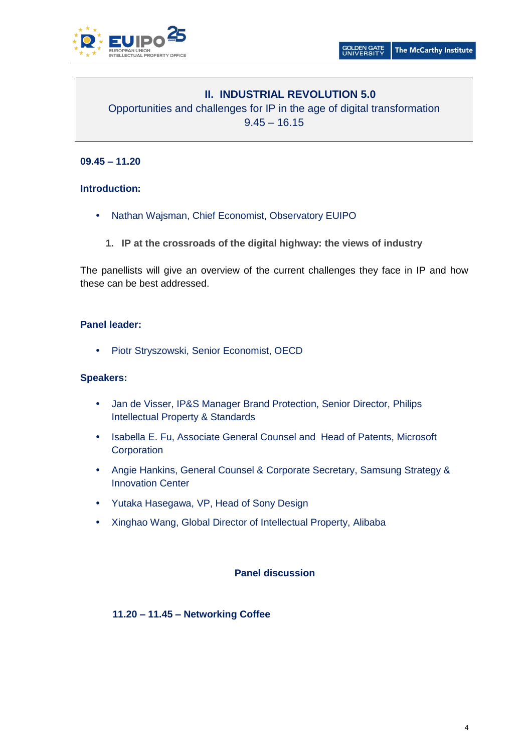

# **II. INDUSTRIAL REVOLUTION 5.0**

Opportunities and challenges for IP in the age of digital transformation  $9.45 - 16.15$ 

# **09.45 – 11.20**

# **Introduction:**

- Nathan Wajsman, Chief Economist, Observatory EUIPO
	- **1. IP at the crossroads of the digital highway: the views of industry**

The panellists will give an overview of the current challenges they face in IP and how these can be best addressed.

# **Panel leader:**

• Piotr Stryszowski, Senior Economist, OECD

# **Speakers:**

- Jan de Visser, IP&S Manager Brand Protection, Senior Director, Philips Intellectual Property & Standards
- Isabella E. Fu, Associate General Counsel and Head of Patents, Microsoft **Corporation**
- Angie Hankins, General Counsel & Corporate Secretary, Samsung Strategy & Innovation Center
- Yutaka Hasegawa, VP, Head of Sony Design
- Xinghao Wang, Global Director of Intellectual Property, Alibaba

# **Panel discussion**

**11.20 – 11.45 – Networking Coffee**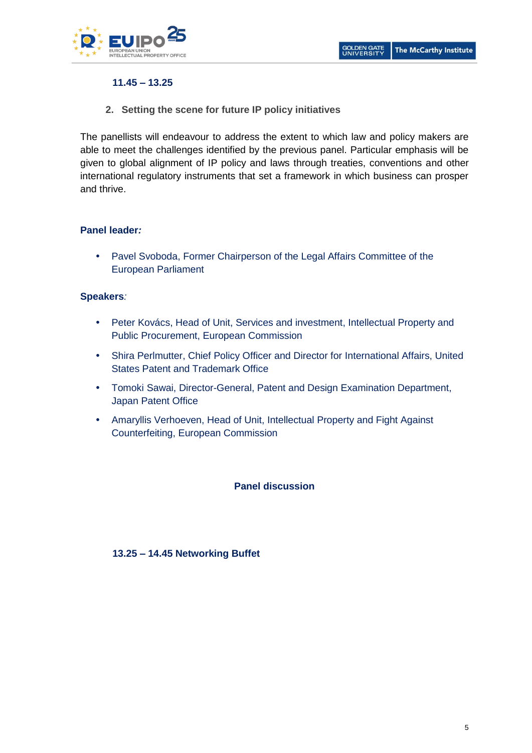

# **11.45 – 13.25**

**2. Setting the scene for future IP policy initiatives**

The panellists will endeavour to address the extent to which law and policy makers are able to meet the challenges identified by the previous panel. Particular emphasis will be given to global alignment of IP policy and laws through treaties, conventions and other international regulatory instruments that set a framework in which business can prosper and thrive.

# **Panel leader***:*

 Pavel Svoboda, Former Chairperson of the Legal Affairs Committee of the European Parliament

# **Speakers***:*

- Peter Kovács, Head of Unit, Services and investment, Intellectual Property and Public Procurement, European Commission
- Shira Perlmutter, Chief Policy Officer and Director for International Affairs, United States Patent and Trademark Office
- Tomoki Sawai, Director-General, Patent and Design Examination Department, Japan Patent Office
- Amaryllis Verhoeven, Head of Unit, Intellectual Property and Fight Against Counterfeiting, European Commission

# **Panel discussion**

# **13.25 – 14.45 Networking Buffet**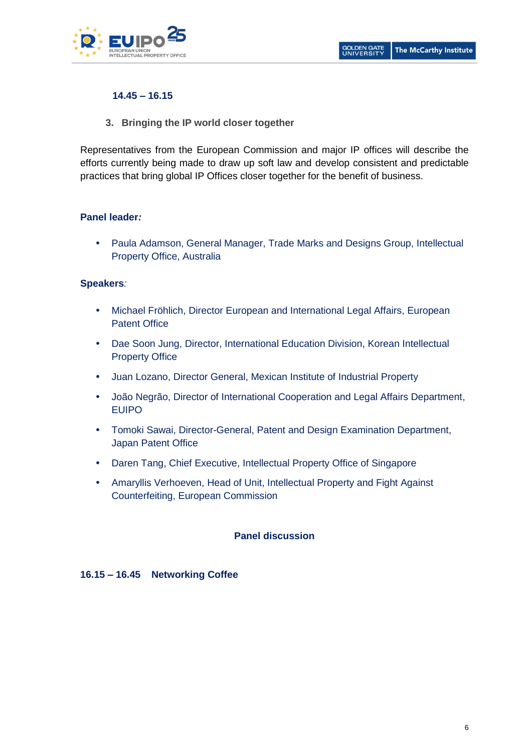

# **14.45 – 16.15**

**3. Bringing the IP world closer together**

Representatives from the European Commission and major IP offices will describe the efforts currently being made to draw up soft law and develop consistent and predictable practices that bring global IP Offices closer together for the benefit of business.

# **Panel leader***:*

 Paula Adamson, General Manager, Trade Marks and Designs Group, Intellectual Property Office, Australia

# **Speakers***:*

- Michael Fröhlich, Director European and International Legal Affairs, European Patent Office
- Dae Soon Jung, Director, International Education Division, Korean Intellectual Property Office
- Juan Lozano, Director General, Mexican Institute of Industrial Property
- João Negrão, Director of International Cooperation and Legal Affairs Department, EUIPO
- Tomoki Sawai, Director-General, Patent and Design Examination Department, Japan Patent Office
- Daren Tang, Chief Executive, Intellectual Property Office of Singapore
- Amaryllis Verhoeven, Head of Unit, Intellectual Property and Fight Against Counterfeiting, European Commission

# **Panel discussion**

# **16.15 – 16.45 Networking Coffee**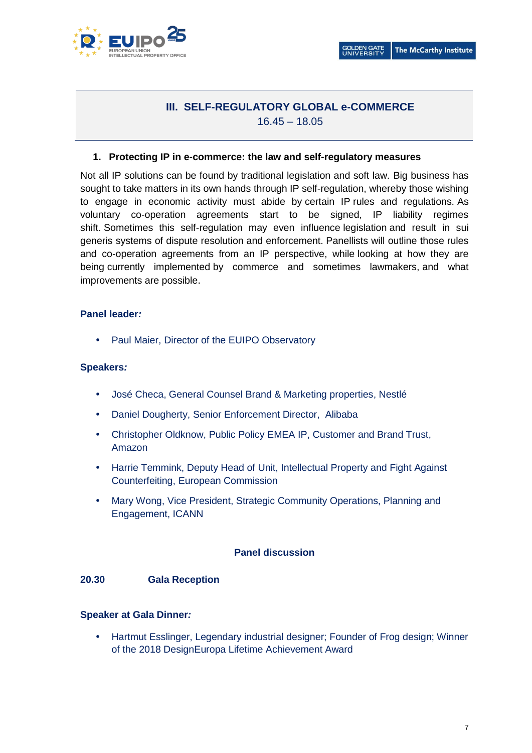

# **III. SELF-REGULATORY GLOBAL e-COMMERCE** 16.45 – 18.05

### **1. Protecting IP in e-commerce: the law and self-regulatory measures**

Not all IP solutions can be found by traditional legislation and soft law. Big business has sought to take matters in its own hands through IP self-regulation, whereby those wishing to engage in economic activity must abide by certain IP rules and regulations. As voluntary co-operation agreements start to be signed, IP liability regimes shift. Sometimes this self-regulation may even influence legislation and result in sui generis systems of dispute resolution and enforcement. Panellists will outline those rules and co-operation agreements from an IP perspective, while looking at how they are being currently implemented by commerce and sometimes lawmakers, and what improvements are possible.

#### **Panel leader***:*

• Paul Maier, Director of the EUIPO Observatory

#### **Speakers***:*

- José Checa, General Counsel Brand & Marketing properties, Nestlé
- Daniel Dougherty, Senior Enforcement Director, Alibaba
- Christopher Oldknow, Public Policy EMEA IP, Customer and Brand Trust, Amazon
- Harrie Temmink, Deputy Head of Unit, Intellectual Property and Fight Against Counterfeiting, European Commission
- Mary Wong, Vice President, Strategic Community Operations, Planning and Engagement, ICANN

#### **Panel discussion**

#### **20.30 Gala Reception**

#### **Speaker at Gala Dinner***:*

 Hartmut Esslinger, Legendary industrial designer; Founder of Frog design; Winner of the 2018 DesignEuropa Lifetime Achievement Award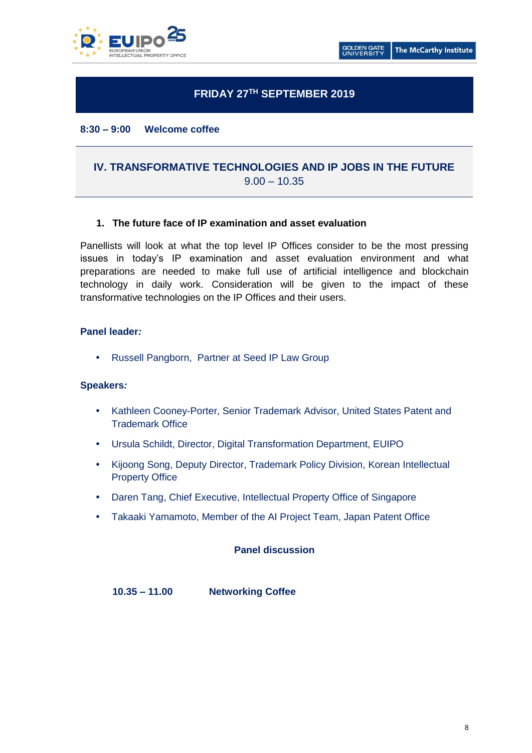

# **FRIDAY 27TH SEPTEMBER 2019**

#### **8:30 – 9:00 Welcome coffee**

# **IV. TRANSFORMATIVE TECHNOLOGIES AND IP JOBS IN THE FUTURE**  $9.00 - 10.35$

#### **1. The future face of IP examination and asset evaluation**

Panellists will look at what the top level IP Offices consider to be the most pressing issues in today's IP examination and asset evaluation environment and what preparations are needed to make full use of artificial intelligence and blockchain technology in daily work. Consideration will be given to the impact of these transformative technologies on the IP Offices and their users.

#### **Panel leader***:*

• Russell Pangborn, Partner at Seed IP Law Group

#### **Speakers***:*

- Kathleen Cooney-Porter, Senior Trademark Advisor, United States Patent and Trademark Office
- Ursula Schildt, Director, Digital Transformation Department, EUIPO
- Kijoong Song, Deputy Director, Trademark Policy Division, Korean Intellectual Property Office
- Daren Tang, Chief Executive, Intellectual Property Office of Singapore
- Takaaki Yamamoto, Member of the AI Project Team, Japan Patent Office

#### **Panel discussion**

**10.35 – 11.00 Networking Coffee**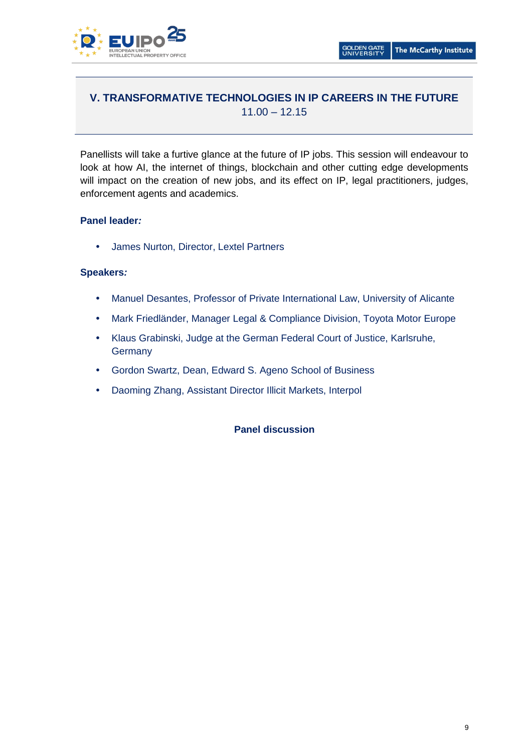

# **V. TRANSFORMATIVE TECHNOLOGIES IN IP CAREERS IN THE FUTURE**  $11.00 - 12.15$

Panellists will take a furtive glance at the future of IP jobs. This session will endeavour to look at how AI, the internet of things, blockchain and other cutting edge developments will impact on the creation of new jobs, and its effect on IP, legal practitioners, judges, enforcement agents and academics.

# **Panel leader***:*

James Nurton, Director, Lextel Partners

# **Speakers***:*

- Manuel Desantes, Professor of Private International Law, University of Alicante
- Mark Friedländer, Manager Legal & Compliance Division, Toyota Motor Europe
- Klaus Grabinski, Judge at the German Federal Court of Justice, Karlsruhe, **Germany**
- Gordon Swartz, Dean, Edward S. Ageno School of Business
- Daoming Zhang, Assistant Director Illicit Markets, Interpol

# **Panel discussion**